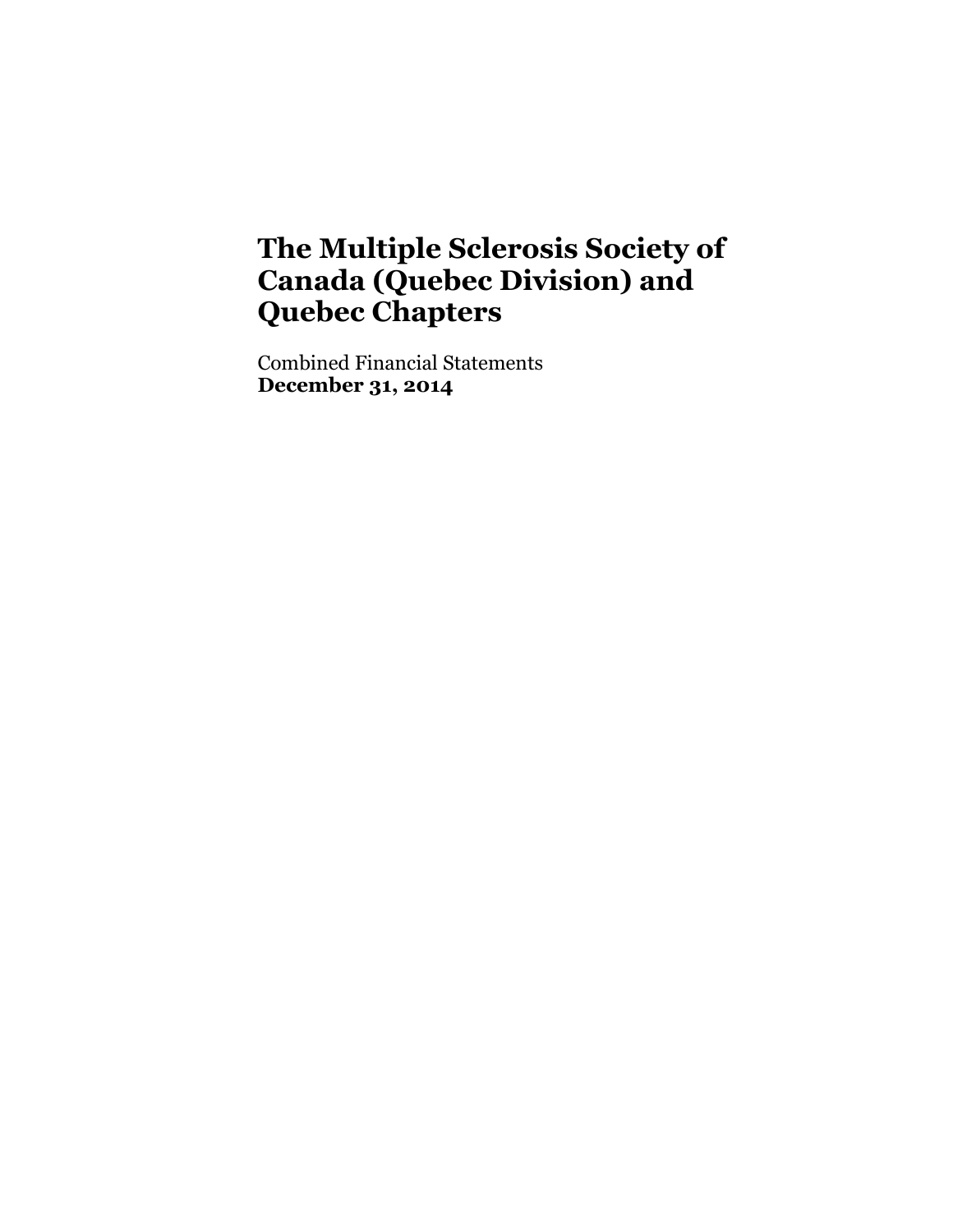Combined Financial Statements **December 31, 2014**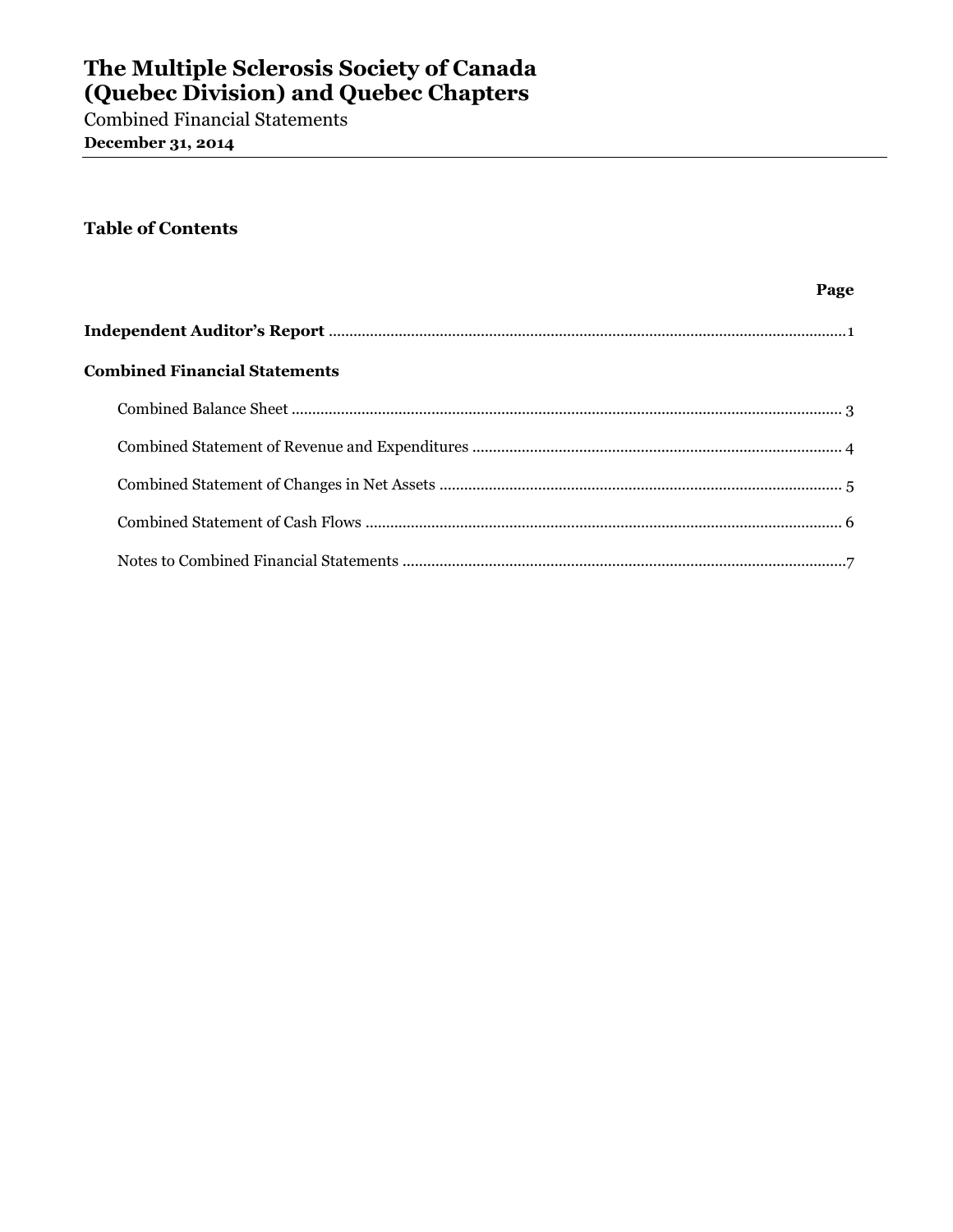Combined Financial Statements **December 31, 2014**

### **Table of Contents**

| Page                                 |  |
|--------------------------------------|--|
|                                      |  |
| <b>Combined Financial Statements</b> |  |
|                                      |  |
|                                      |  |
|                                      |  |
|                                      |  |
|                                      |  |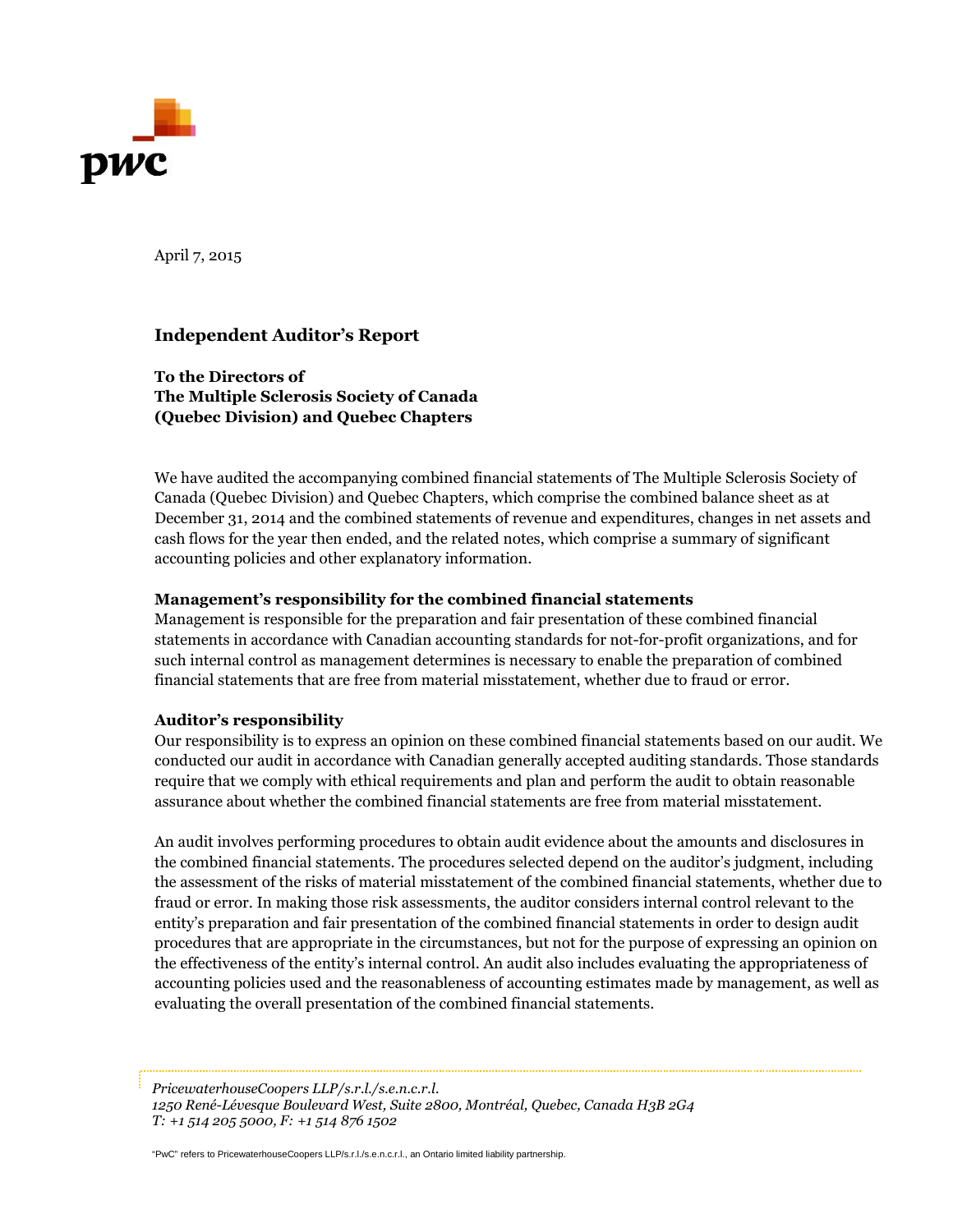

April 7, 2015

### **Independent Auditor's Report**

**To the Directors of The Multiple Sclerosis Society of Canada (Quebec Division) and Quebec Chapters**

We have audited the accompanying combined financial statements of The Multiple Sclerosis Society of Canada (Quebec Division) and Quebec Chapters, which comprise the combined balance sheet as at December 31, 2014 and the combined statements of revenue and expenditures, changes in net assets and cash flows for the year then ended, and the related notes, which comprise a summary of significant accounting policies and other explanatory information.

#### **Management's responsibility for the combined financial statements**

Management is responsible for the preparation and fair presentation of these combined financial statements in accordance with Canadian accounting standards for not-for-profit organizations, and for such internal control as management determines is necessary to enable the preparation of combined financial statements that are free from material misstatement, whether due to fraud or error.

### **Auditor's responsibility**

Our responsibility is to express an opinion on these combined financial statements based on our audit. We conducted our audit in accordance with Canadian generally accepted auditing standards. Those standards require that we comply with ethical requirements and plan and perform the audit to obtain reasonable assurance about whether the combined financial statements are free from material misstatement.

An audit involves performing procedures to obtain audit evidence about the amounts and disclosures in the combined financial statements. The procedures selected depend on the auditor's judgment, including the assessment of the risks of material misstatement of the combined financial statements, whether due to fraud or error. In making those risk assessments, the auditor considers internal control relevant to the entity's preparation and fair presentation of the combined financial statements in order to design audit procedures that are appropriate in the circumstances, but not for the purpose of expressing an opinion on the effectiveness of the entity's internal control. An audit also includes evaluating the appropriateness of accounting policies used and the reasonableness of accounting estimates made by management, as well as evaluating the overall presentation of the combined financial statements.

*PricewaterhouseCoopers LLP/s.r.l./s.e.n.c.r.l. 1250 René-Lévesque Boulevard West, Suite 2800, Montréal, Quebec, Canada H3B 2G4 T: +1 514 205 5000, F: +1 514 876 1502*

"PwC" refers to PricewaterhouseCoopers LLP/s.r.l./s.e.n.c.r.l., an Ontario limited liability partnership.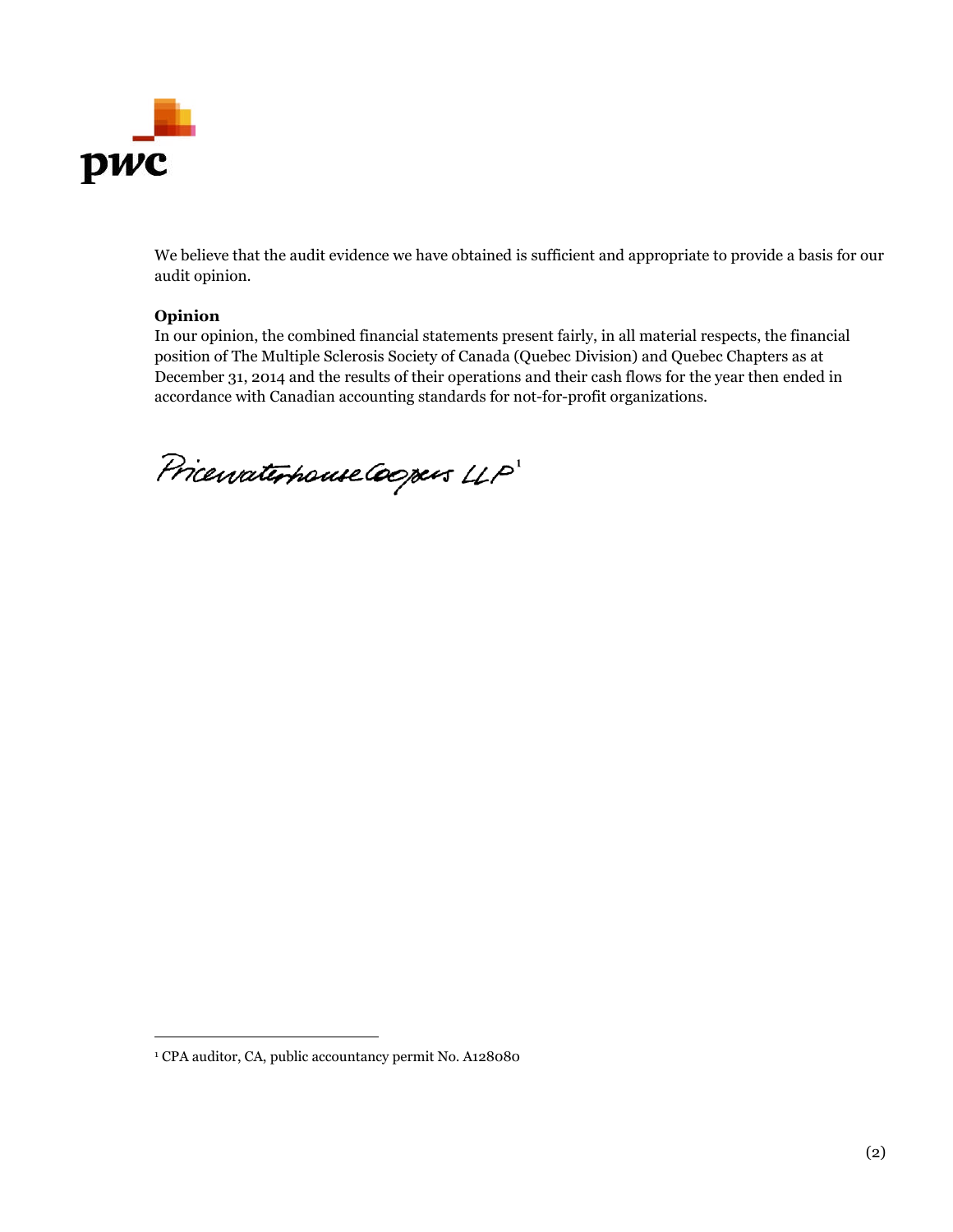

We believe that the audit evidence we have obtained is sufficient and appropriate to provide a basis for our audit opinion.

### **Opinion**

In our opinion, the combined financial statements present fairly, in all material respects, the financial position of The Multiple Sclerosis Society of Canada (Quebec Division) and Quebec Chapters as at December 31, 2014 and the results of their operations and their cash flows for the year then ended in accordance with Canadian accounting standards for not-for-profit organizations.

Pricewaterhouse Coopers LLP

<sup>1</sup> CPA auditor, CA, public accountancy permit No. A128080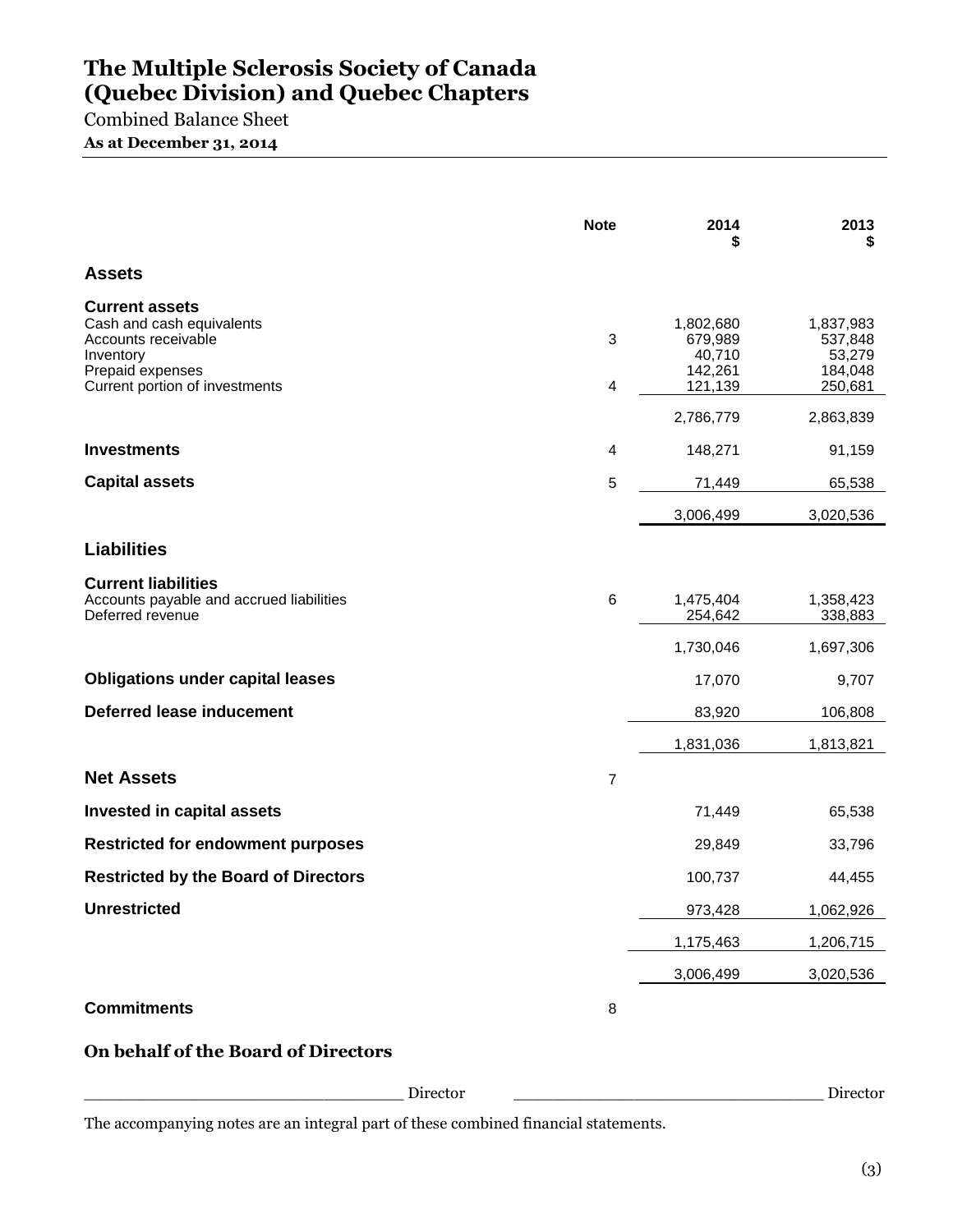Combined Balance Sheet **As at December 31, 2014**

|                                                                                                                                              | <b>Note</b>    | 2014<br>5                                            | 2013<br>\$                                           |
|----------------------------------------------------------------------------------------------------------------------------------------------|----------------|------------------------------------------------------|------------------------------------------------------|
| <b>Assets</b>                                                                                                                                |                |                                                      |                                                      |
| <b>Current assets</b><br>Cash and cash equivalents<br>Accounts receivable<br>Inventory<br>Prepaid expenses<br>Current portion of investments | 3<br>4         | 1,802,680<br>679,989<br>40,710<br>142,261<br>121,139 | 1,837,983<br>537,848<br>53,279<br>184,048<br>250,681 |
|                                                                                                                                              |                | 2,786,779                                            | 2,863,839                                            |
| <b>Investments</b>                                                                                                                           | 4              | 148,271                                              | 91,159                                               |
| <b>Capital assets</b>                                                                                                                        | 5              | 71,449                                               | 65,538                                               |
|                                                                                                                                              |                | 3,006,499                                            | 3,020,536                                            |
| <b>Liabilities</b>                                                                                                                           |                |                                                      |                                                      |
| <b>Current liabilities</b><br>Accounts payable and accrued liabilities<br>Deferred revenue                                                   | 6              | 1,475,404<br>254,642                                 | 1,358,423<br>338,883                                 |
|                                                                                                                                              |                | 1,730,046                                            | 1,697,306                                            |
| <b>Obligations under capital leases</b>                                                                                                      |                | 17,070                                               | 9,707                                                |
| <b>Deferred lease inducement</b>                                                                                                             |                | 83,920                                               | 106,808                                              |
|                                                                                                                                              |                | 1,831,036                                            | 1,813,821                                            |
| <b>Net Assets</b>                                                                                                                            | $\overline{7}$ |                                                      |                                                      |
| <b>Invested in capital assets</b>                                                                                                            |                | 71,449                                               | 65,538                                               |
| <b>Restricted for endowment purposes</b>                                                                                                     |                | 29,849                                               | 33,796                                               |
| <b>Restricted by the Board of Directors</b>                                                                                                  |                | 100,737                                              | 44,455                                               |
| <b>Unrestricted</b>                                                                                                                          |                | 973,428                                              | 1,062,926                                            |
|                                                                                                                                              |                | 1,175,463                                            | 1,206,715                                            |
|                                                                                                                                              |                | 3,006,499                                            | 3,020,536                                            |
| <b>Commitments</b>                                                                                                                           | 8              |                                                      |                                                      |
| On behalf of the Board of Directors                                                                                                          |                |                                                      |                                                      |

\_\_\_\_\_\_\_\_\_\_\_\_\_\_\_\_\_\_\_\_\_\_\_\_\_\_\_\_\_\_\_\_ Director \_\_\_\_\_\_\_\_\_\_\_\_\_\_\_\_\_\_\_\_\_\_\_\_\_\_\_\_\_\_\_ Director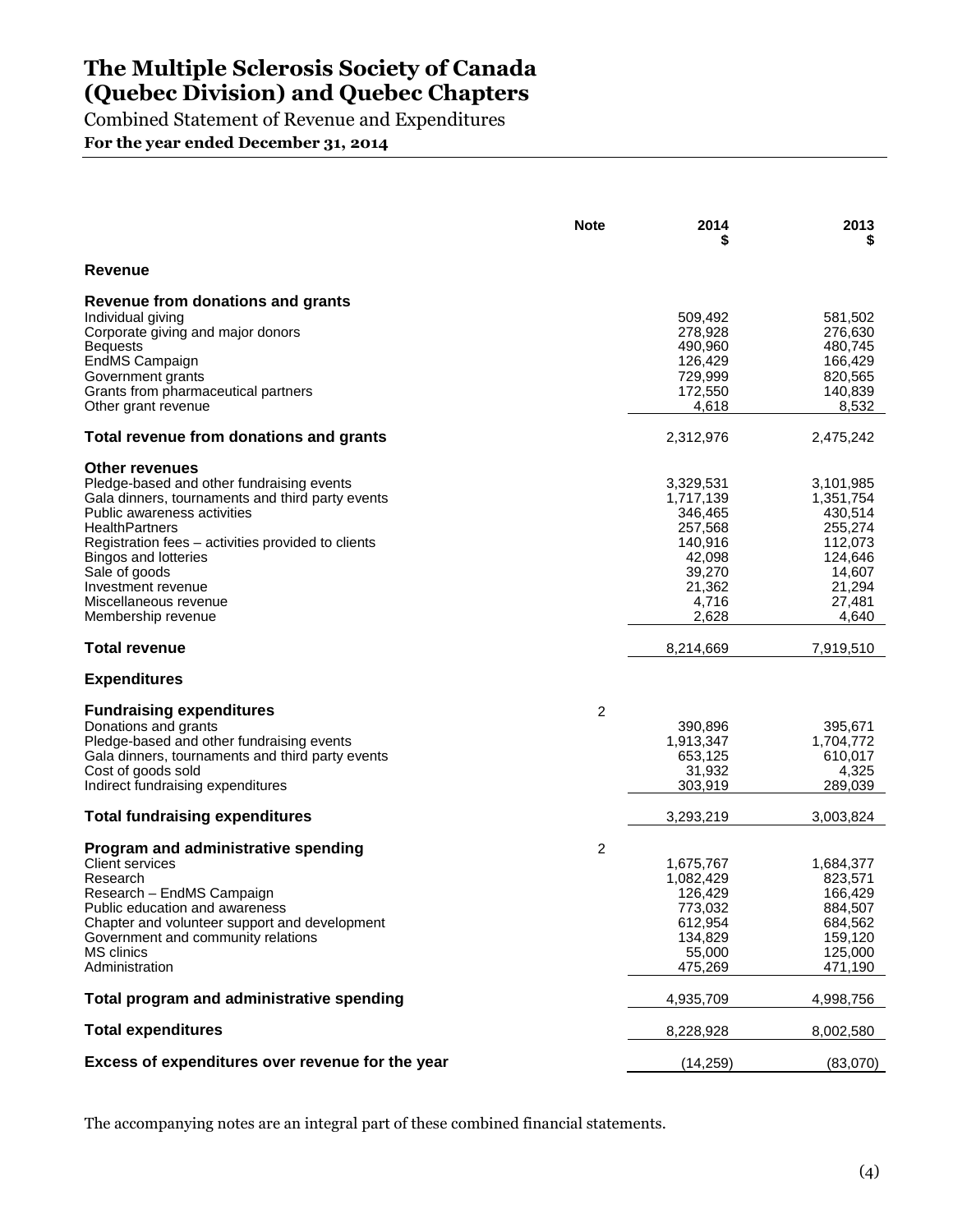Combined Statement of Revenue and Expenditures

**For the year ended December 31, 2014**

|                                                                                                                                                                                                                                                                                                                                                    | <b>Note</b> | 2014                                                                                                    | 2013                                                                                                      |
|----------------------------------------------------------------------------------------------------------------------------------------------------------------------------------------------------------------------------------------------------------------------------------------------------------------------------------------------------|-------------|---------------------------------------------------------------------------------------------------------|-----------------------------------------------------------------------------------------------------------|
| Revenue                                                                                                                                                                                                                                                                                                                                            |             |                                                                                                         |                                                                                                           |
| Revenue from donations and grants<br>Individual giving<br>Corporate giving and major donors<br><b>Bequests</b><br>EndMS Campaign<br>Government grants<br>Grants from pharmaceutical partners<br>Other grant revenue                                                                                                                                |             | 509,492<br>278,928<br>490,960<br>126,429<br>729,999<br>172,550<br>4,618                                 | 581,502<br>276,630<br>480,745<br>166,429<br>820,565<br>140,839<br>8,532                                   |
| Total revenue from donations and grants                                                                                                                                                                                                                                                                                                            |             | 2,312,976                                                                                               | 2,475,242                                                                                                 |
| <b>Other revenues</b><br>Pledge-based and other fundraising events<br>Gala dinners, tournaments and third party events<br>Public awareness activities<br><b>HealthPartners</b><br>Registration fees – activities provided to clients<br>Bingos and lotteries<br>Sale of goods<br>Investment revenue<br>Miscellaneous revenue<br>Membership revenue |             | 3,329,531<br>1,717,139<br>346,465<br>257,568<br>140,916<br>42,098<br>39,270<br>21,362<br>4,716<br>2,628 | 3,101,985<br>1,351,754<br>430,514<br>255,274<br>112,073<br>124,646<br>14,607<br>21,294<br>27,481<br>4,640 |
| <b>Total revenue</b>                                                                                                                                                                                                                                                                                                                               |             | 8,214,669                                                                                               | 7,919,510                                                                                                 |
| <b>Expenditures</b>                                                                                                                                                                                                                                                                                                                                |             |                                                                                                         |                                                                                                           |
| <b>Fundraising expenditures</b><br>Donations and grants<br>Pledge-based and other fundraising events<br>Gala dinners, tournaments and third party events<br>Cost of goods sold<br>Indirect fundraising expenditures                                                                                                                                | 2           | 390,896<br>1,913,347<br>653,125<br>31,932<br>303,919                                                    | 395,671<br>1,704,772<br>610,017<br>4,325<br>289,039                                                       |
| <b>Total fundraising expenditures</b>                                                                                                                                                                                                                                                                                                              |             | 3,293,219                                                                                               | 3,003,824                                                                                                 |
| Program and administrative spending<br><b>Client services</b><br>Research<br>Research - EndMS Campaign<br>Public education and awareness<br>Chapter and volunteer support and development<br>Government and community relations<br><b>MS</b> clinics<br>Administration                                                                             | 2           | 1,675,767<br>1,082,429<br>126,429<br>773,032<br>612,954<br>134,829<br>55,000<br>475,269                 | 1,684,377<br>823,571<br>166,429<br>884,507<br>684,562<br>159,120<br>125,000<br>471,190                    |
| Total program and administrative spending                                                                                                                                                                                                                                                                                                          |             | 4,935,709                                                                                               | 4,998,756                                                                                                 |
| <b>Total expenditures</b>                                                                                                                                                                                                                                                                                                                          |             | 8,228,928                                                                                               | 8,002,580                                                                                                 |
| Excess of expenditures over revenue for the year                                                                                                                                                                                                                                                                                                   |             | (14, 259)                                                                                               | (83,070)                                                                                                  |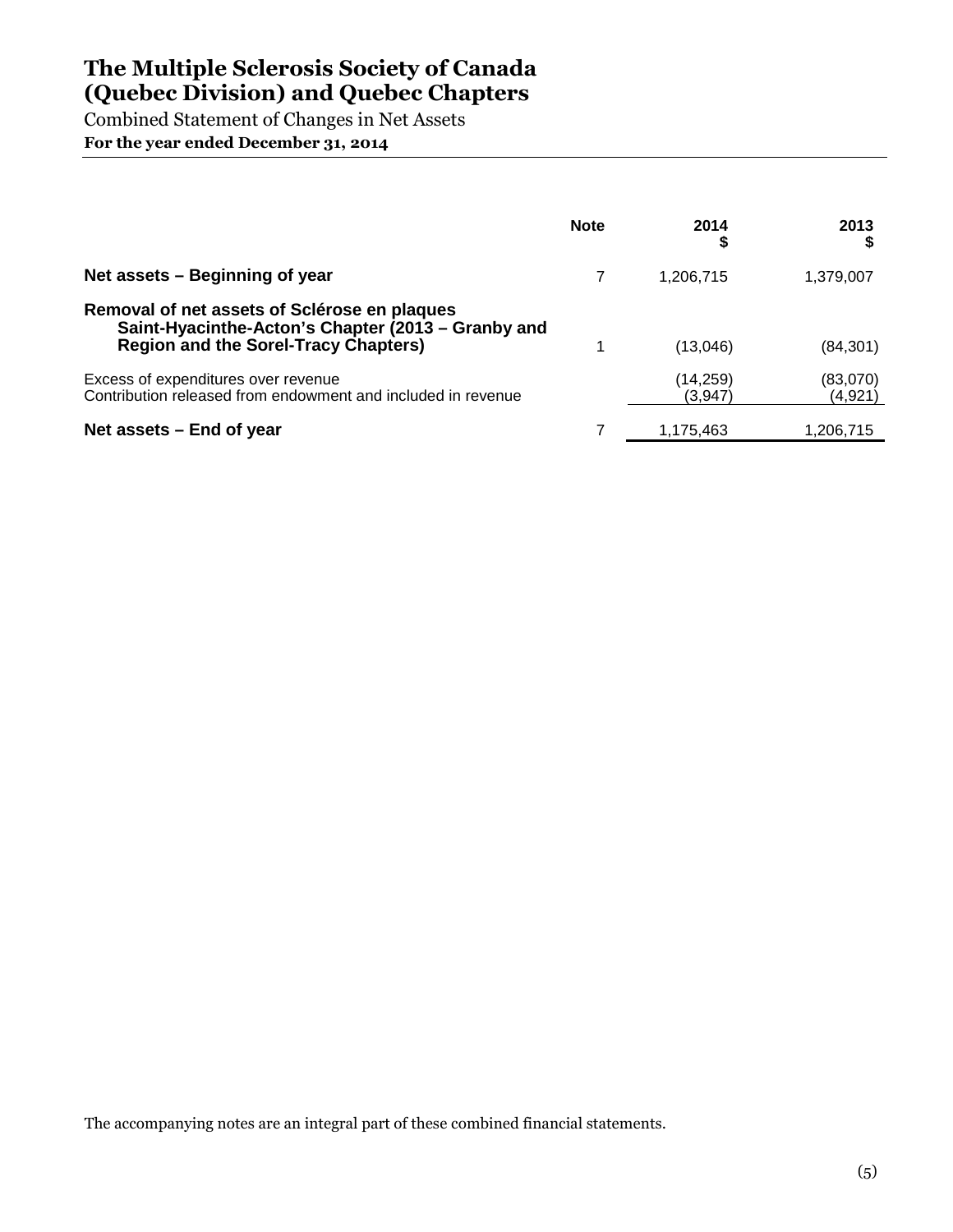Combined Statement of Changes in Net Assets **For the year ended December 31, 2014**

|                                                                                                                                                   | <b>Note</b> | 2014<br>S           | 2013                |
|---------------------------------------------------------------------------------------------------------------------------------------------------|-------------|---------------------|---------------------|
| Net assets - Beginning of year                                                                                                                    |             | 1,206,715           | 1,379,007           |
| Removal of net assets of Sclérose en plaques<br>Saint-Hyacinthe-Acton's Chapter (2013 – Granby and<br><b>Region and the Sorel-Tracy Chapters)</b> |             | (13,046)            | (84, 301)           |
| Excess of expenditures over revenue<br>Contribution released from endowment and included in revenue                                               |             | (14,259)<br>(3,947) | (83,070)<br>(4,921) |
| Net assets $-$ End of year                                                                                                                        |             | 1,175,463           | 1,206,715           |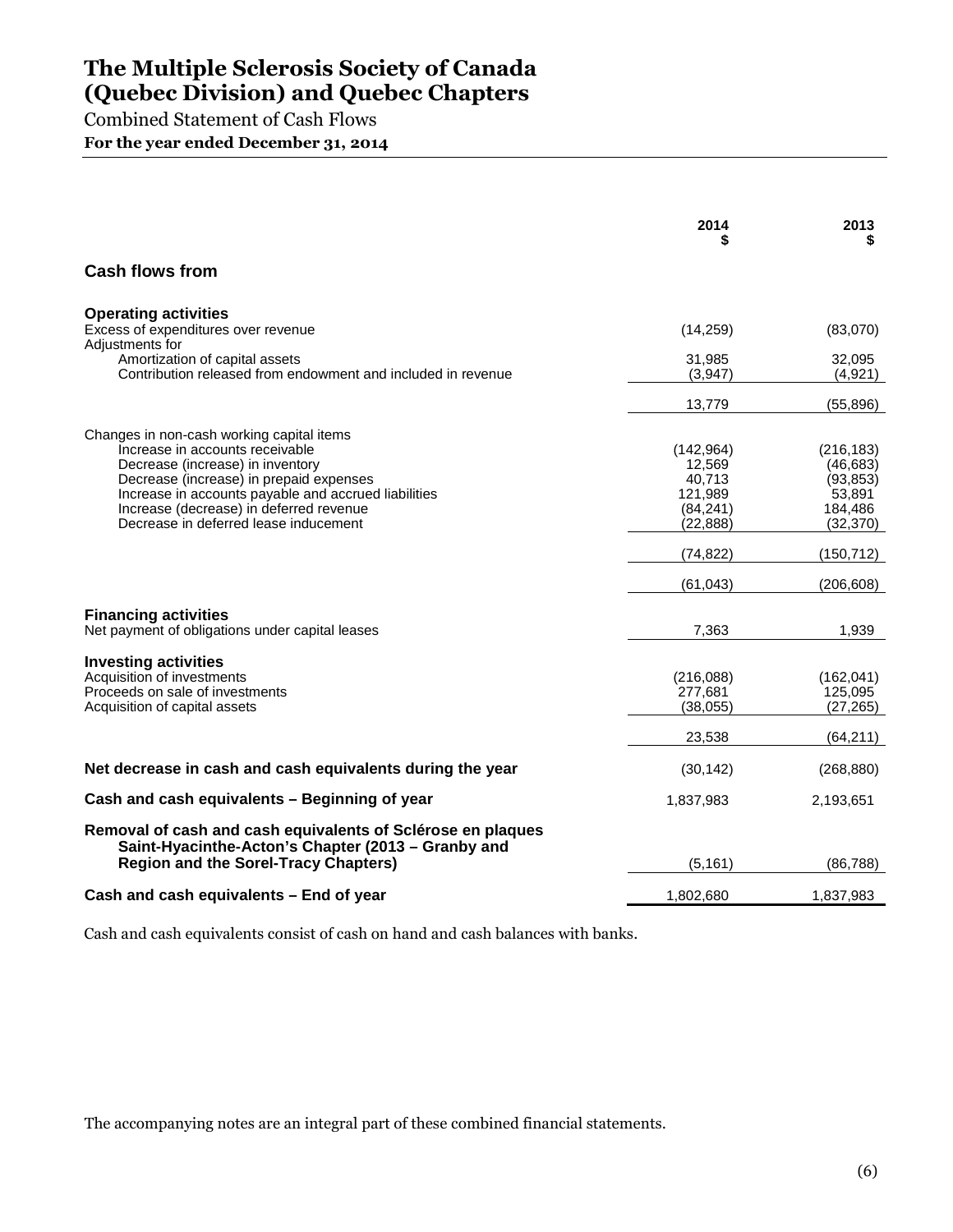Combined Statement of Cash Flows

**For the year ended December 31, 2014**

|                                                                                                                                                                                                                                                                                                         | 2014                                                                | 2013<br>\$                                                             |
|---------------------------------------------------------------------------------------------------------------------------------------------------------------------------------------------------------------------------------------------------------------------------------------------------------|---------------------------------------------------------------------|------------------------------------------------------------------------|
| <b>Cash flows from</b>                                                                                                                                                                                                                                                                                  |                                                                     |                                                                        |
| <b>Operating activities</b><br>Excess of expenditures over revenue<br>Adjustments for                                                                                                                                                                                                                   | (14,259)                                                            | (83,070)                                                               |
| Amortization of capital assets<br>Contribution released from endowment and included in revenue                                                                                                                                                                                                          | 31,985<br>(3.947)                                                   | 32,095<br>(4,921)                                                      |
|                                                                                                                                                                                                                                                                                                         | 13,779                                                              | (55, 896)                                                              |
| Changes in non-cash working capital items<br>Increase in accounts receivable<br>Decrease (increase) in inventory<br>Decrease (increase) in prepaid expenses<br>Increase in accounts payable and accrued liabilities<br>Increase (decrease) in deferred revenue<br>Decrease in deferred lease inducement | (142, 964)<br>12,569<br>40,713<br>121,989<br>(84, 241)<br>(22, 888) | (216, 183)<br>(46, 683)<br>(93, 853)<br>53,891<br>184,486<br>(32, 370) |
|                                                                                                                                                                                                                                                                                                         | (74, 822)                                                           | (150, 712)                                                             |
|                                                                                                                                                                                                                                                                                                         | (61, 043)                                                           | (206, 608)                                                             |
| <b>Financing activities</b><br>Net payment of obligations under capital leases                                                                                                                                                                                                                          | 7,363                                                               | 1,939                                                                  |
| <b>Investing activities</b><br>Acquisition of investments<br>Proceeds on sale of investments<br>Acquisition of capital assets                                                                                                                                                                           | (216,088)<br>277,681<br>(38,055)<br>23,538                          | (162, 041)<br>125,095<br>(27, 265)<br>(64, 211)                        |
| Net decrease in cash and cash equivalents during the year                                                                                                                                                                                                                                               | (30, 142)                                                           | (268, 880)                                                             |
| Cash and cash equivalents - Beginning of year                                                                                                                                                                                                                                                           | 1,837,983                                                           | 2,193,651                                                              |
| Removal of cash and cash equivalents of Sclérose en plaques<br>Saint-Hyacinthe-Acton's Chapter (2013 – Granby and<br><b>Region and the Sorel-Tracy Chapters)</b>                                                                                                                                        | (5, 161)                                                            | (86, 788)                                                              |
| Cash and cash equivalents - End of year                                                                                                                                                                                                                                                                 | 1,802,680                                                           | 1,837,983                                                              |

Cash and cash equivalents consist of cash on hand and cash balances with banks.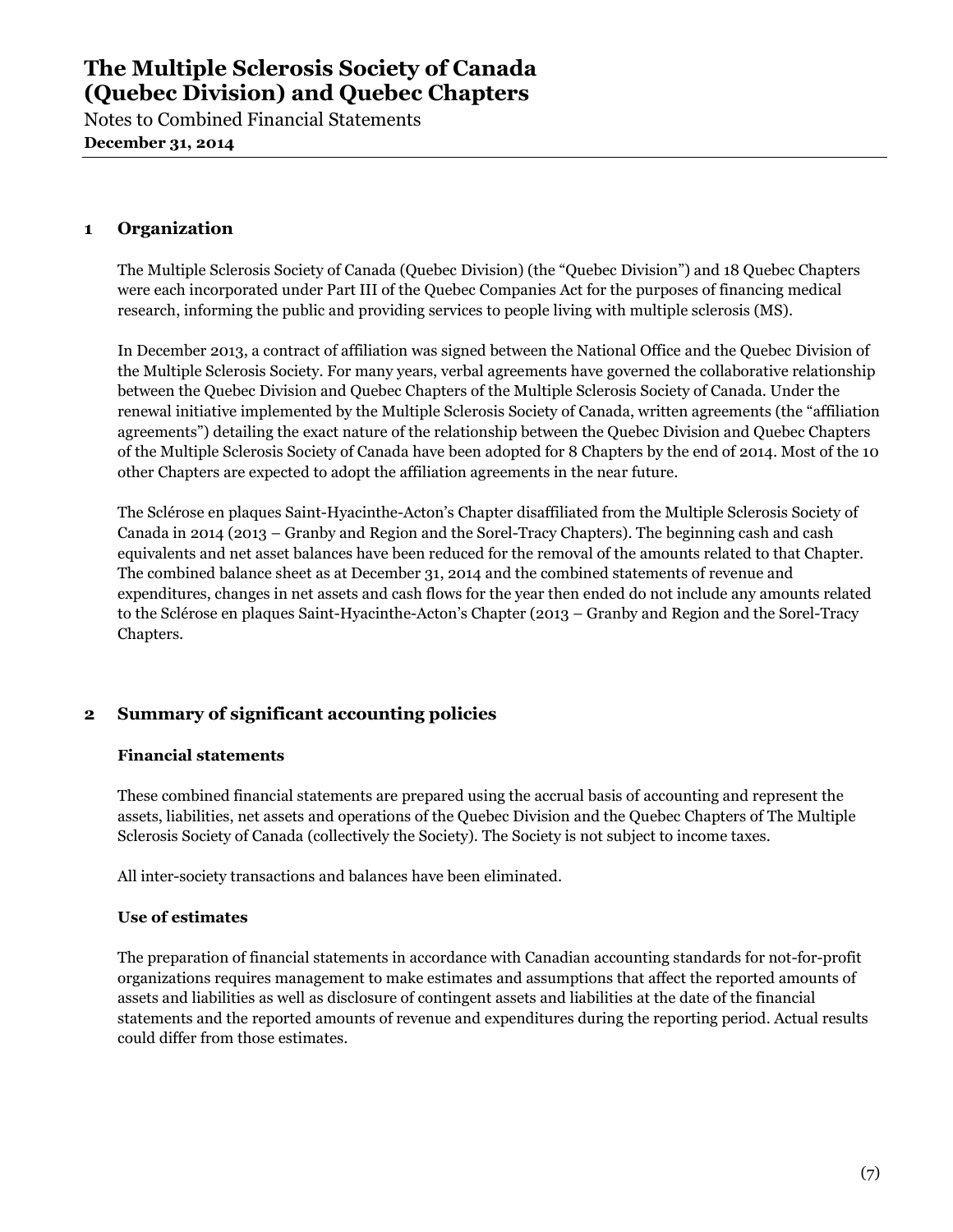Notes to Combined Financial Statements **December 31, 2014**

### **1 Organization**

The Multiple Sclerosis Society of Canada (Quebec Division) (the "Quebec Division") and 18 Quebec Chapters were each incorporated under Part III of the Quebec Companies Act for the purposes of financing medical research, informing the public and providing services to people living with multiple sclerosis (MS).

In December 2013, a contract of affiliation was signed between the National Office and the Quebec Division of the Multiple Sclerosis Society. For many years, verbal agreements have governed the collaborative relationship between the Quebec Division and Quebec Chapters of the Multiple Sclerosis Society of Canada. Under the renewal initiative implemented by the Multiple Sclerosis Society of Canada, written agreements (the "affiliation agreements") detailing the exact nature of the relationship between the Quebec Division and Quebec Chapters of the Multiple Sclerosis Society of Canada have been adopted for 8 Chapters by the end of 2014. Most of the 10 other Chapters are expected to adopt the affiliation agreements in the near future.

The Sclérose en plaques Saint-Hyacinthe-Acton's Chapter disaffiliated from the Multiple Sclerosis Society of Canada in 2014 (2013 – Granby and Region and the Sorel-Tracy Chapters). The beginning cash and cash equivalents and net asset balances have been reduced for the removal of the amounts related to that Chapter. The combined balance sheet as at December 31, 2014 and the combined statements of revenue and expenditures, changes in net assets and cash flows for the year then ended do not include any amounts related to the Sclérose en plaques Saint-Hyacinthe-Acton's Chapter (2013 – Granby and Region and the Sorel-Tracy Chapters.

### **2 Summary of significant accounting policies**

### **Financial statements**

These combined financial statements are prepared using the accrual basis of accounting and represent the assets, liabilities, net assets and operations of the Quebec Division and the Quebec Chapters of The Multiple Sclerosis Society of Canada (collectively the Society). The Society is not subject to income taxes.

All inter-society transactions and balances have been eliminated.

### **Use of estimates**

The preparation of financial statements in accordance with Canadian accounting standards for not-for-profit organizations requires management to make estimates and assumptions that affect the reported amounts of assets and liabilities as well as disclosure of contingent assets and liabilities at the date of the financial statements and the reported amounts of revenue and expenditures during the reporting period. Actual results could differ from those estimates.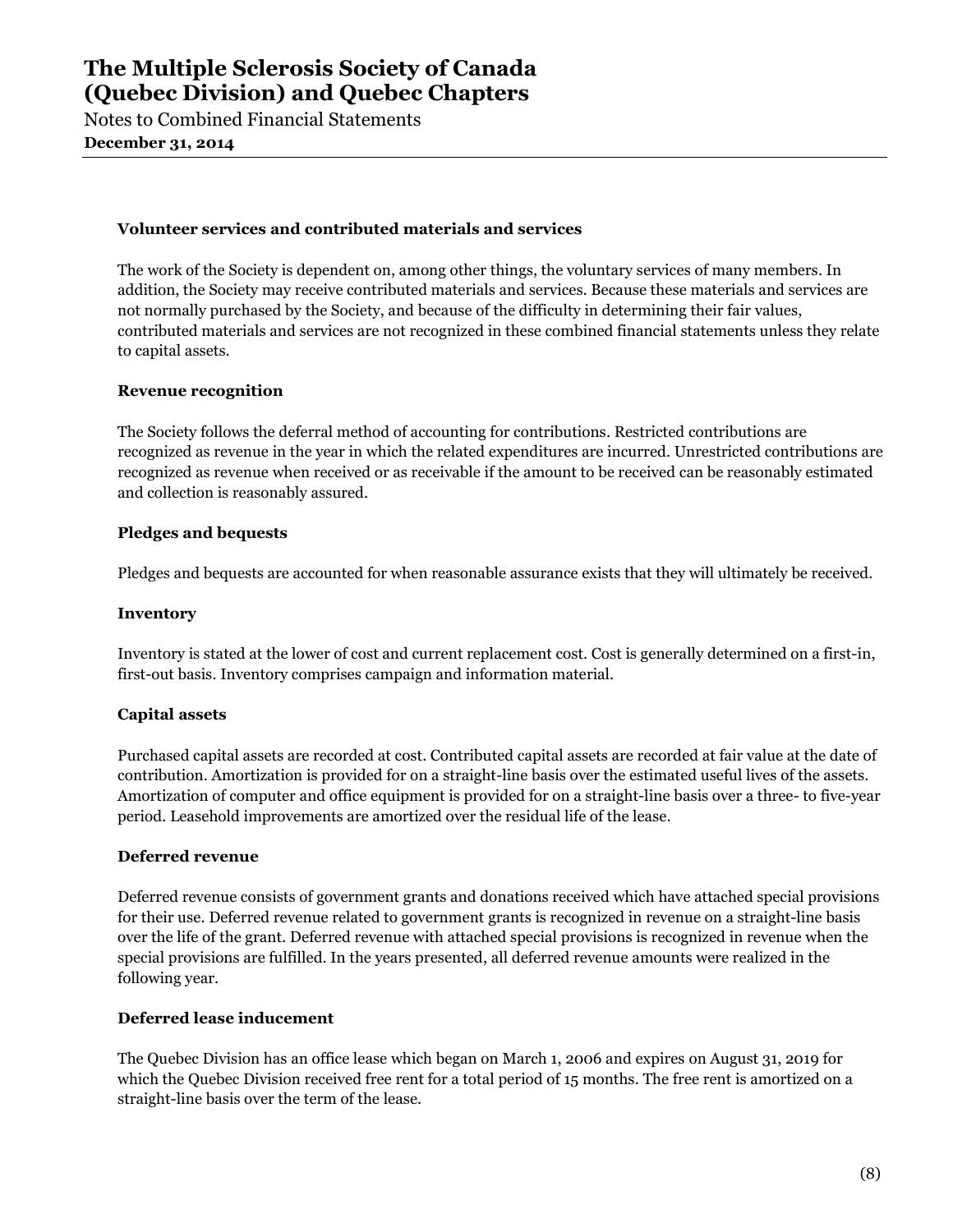Notes to Combined Financial Statements **December 31, 2014**

#### **Volunteer services and contributed materials and services**

The work of the Society is dependent on, among other things, the voluntary services of many members. In addition, the Society may receive contributed materials and services. Because these materials and services are not normally purchased by the Society, and because of the difficulty in determining their fair values, contributed materials and services are not recognized in these combined financial statements unless they relate to capital assets.

#### **Revenue recognition**

The Society follows the deferral method of accounting for contributions. Restricted contributions are recognized as revenue in the year in which the related expenditures are incurred. Unrestricted contributions are recognized as revenue when received or as receivable if the amount to be received can be reasonably estimated and collection is reasonably assured.

### **Pledges and bequests**

Pledges and bequests are accounted for when reasonable assurance exists that they will ultimately be received.

#### **Inventory**

Inventory is stated at the lower of cost and current replacement cost. Cost is generally determined on a first-in, first-out basis. Inventory comprises campaign and information material.

### **Capital assets**

Purchased capital assets are recorded at cost. Contributed capital assets are recorded at fair value at the date of contribution. Amortization is provided for on a straight-line basis over the estimated useful lives of the assets. Amortization of computer and office equipment is provided for on a straight-line basis over a three- to five-year period. Leasehold improvements are amortized over the residual life of the lease.

#### **Deferred revenue**

Deferred revenue consists of government grants and donations received which have attached special provisions for their use. Deferred revenue related to government grants is recognized in revenue on a straight-line basis over the life of the grant. Deferred revenue with attached special provisions is recognized in revenue when the special provisions are fulfilled. In the years presented, all deferred revenue amounts were realized in the following year.

### **Deferred lease inducement**

The Quebec Division has an office lease which began on March 1, 2006 and expires on August 31, 2019 for which the Quebec Division received free rent for a total period of 15 months. The free rent is amortized on a straight-line basis over the term of the lease.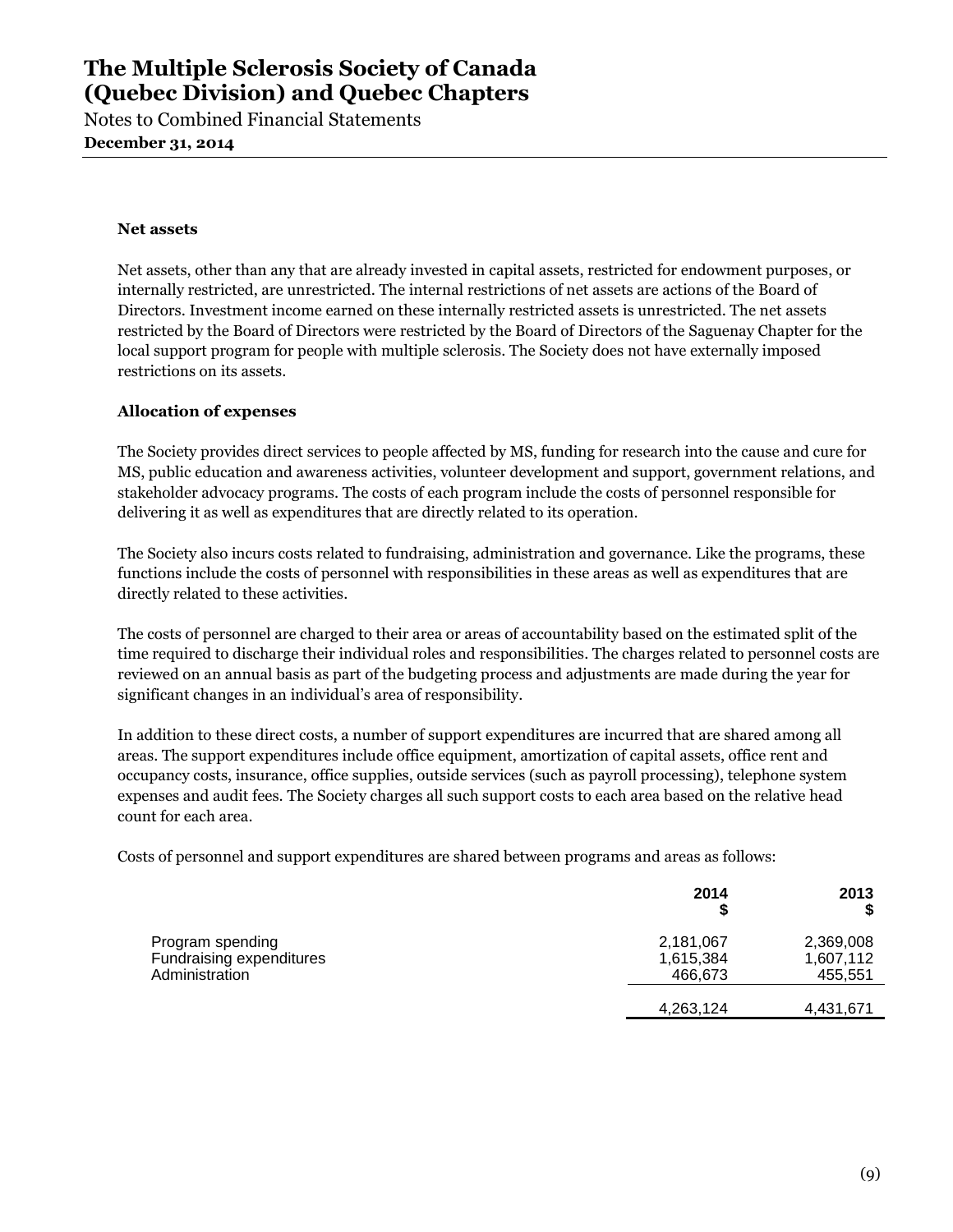Notes to Combined Financial Statements **December 31, 2014**

#### **Net assets**

Net assets, other than any that are already invested in capital assets, restricted for endowment purposes, or internally restricted, are unrestricted. The internal restrictions of net assets are actions of the Board of Directors. Investment income earned on these internally restricted assets is unrestricted. The net assets restricted by the Board of Directors were restricted by the Board of Directors of the Saguenay Chapter for the local support program for people with multiple sclerosis. The Society does not have externally imposed restrictions on its assets.

### **Allocation of expenses**

The Society provides direct services to people affected by MS, funding for research into the cause and cure for MS, public education and awareness activities, volunteer development and support, government relations, and stakeholder advocacy programs. The costs of each program include the costs of personnel responsible for delivering it as well as expenditures that are directly related to its operation.

The Society also incurs costs related to fundraising, administration and governance. Like the programs, these functions include the costs of personnel with responsibilities in these areas as well as expenditures that are directly related to these activities.

The costs of personnel are charged to their area or areas of accountability based on the estimated split of the time required to discharge their individual roles and responsibilities. The charges related to personnel costs are reviewed on an annual basis as part of the budgeting process and adjustments are made during the year for significant changes in an individual's area of responsibility.

In addition to these direct costs, a number of support expenditures are incurred that are shared among all areas. The support expenditures include office equipment, amortization of capital assets, office rent and occupancy costs, insurance, office supplies, outside services (such as payroll processing), telephone system expenses and audit fees. The Society charges all such support costs to each area based on the relative head count for each area.

Costs of personnel and support expenditures are shared between programs and areas as follows:

|                                                                | 2014<br>S                         | 2013                              |
|----------------------------------------------------------------|-----------------------------------|-----------------------------------|
| Program spending<br>Fundraising expenditures<br>Administration | 2,181,067<br>1,615,384<br>466,673 | 2,369,008<br>1,607,112<br>455,551 |
|                                                                | 4,263,124                         | 4,431,671                         |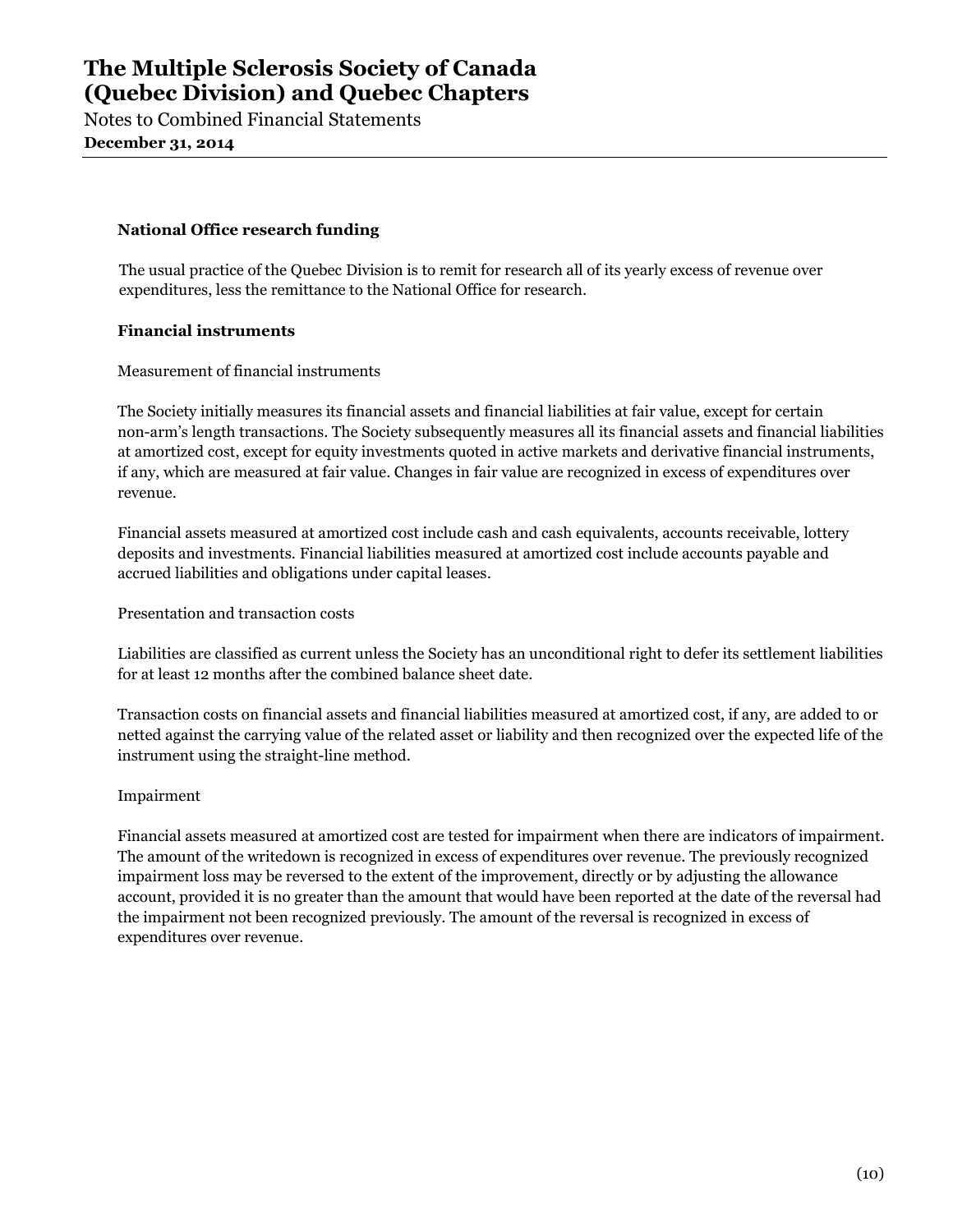Notes to Combined Financial Statements **December 31, 2014**

### **National Office research funding**

The usual practice of the Quebec Division is to remit for research all of its yearly excess of revenue over expenditures, less the remittance to the National Office for research.

### **Financial instruments**

Measurement of financial instruments

The Society initially measures its financial assets and financial liabilities at fair value, except for certain non-arm's length transactions. The Society subsequently measures all its financial assets and financial liabilities at amortized cost, except for equity investments quoted in active markets and derivative financial instruments, if any, which are measured at fair value. Changes in fair value are recognized in excess of expenditures over revenue.

Financial assets measured at amortized cost include cash and cash equivalents, accounts receivable, lottery deposits and investments. Financial liabilities measured at amortized cost include accounts payable and accrued liabilities and obligations under capital leases.

Presentation and transaction costs

Liabilities are classified as current unless the Society has an unconditional right to defer its settlement liabilities for at least 12 months after the combined balance sheet date.

Transaction costs on financial assets and financial liabilities measured at amortized cost, if any, are added to or netted against the carrying value of the related asset or liability and then recognized over the expected life of the instrument using the straight-line method.

### Impairment

Financial assets measured at amortized cost are tested for impairment when there are indicators of impairment. The amount of the writedown is recognized in excess of expenditures over revenue. The previously recognized impairment loss may be reversed to the extent of the improvement, directly or by adjusting the allowance account, provided it is no greater than the amount that would have been reported at the date of the reversal had the impairment not been recognized previously. The amount of the reversal is recognized in excess of expenditures over revenue.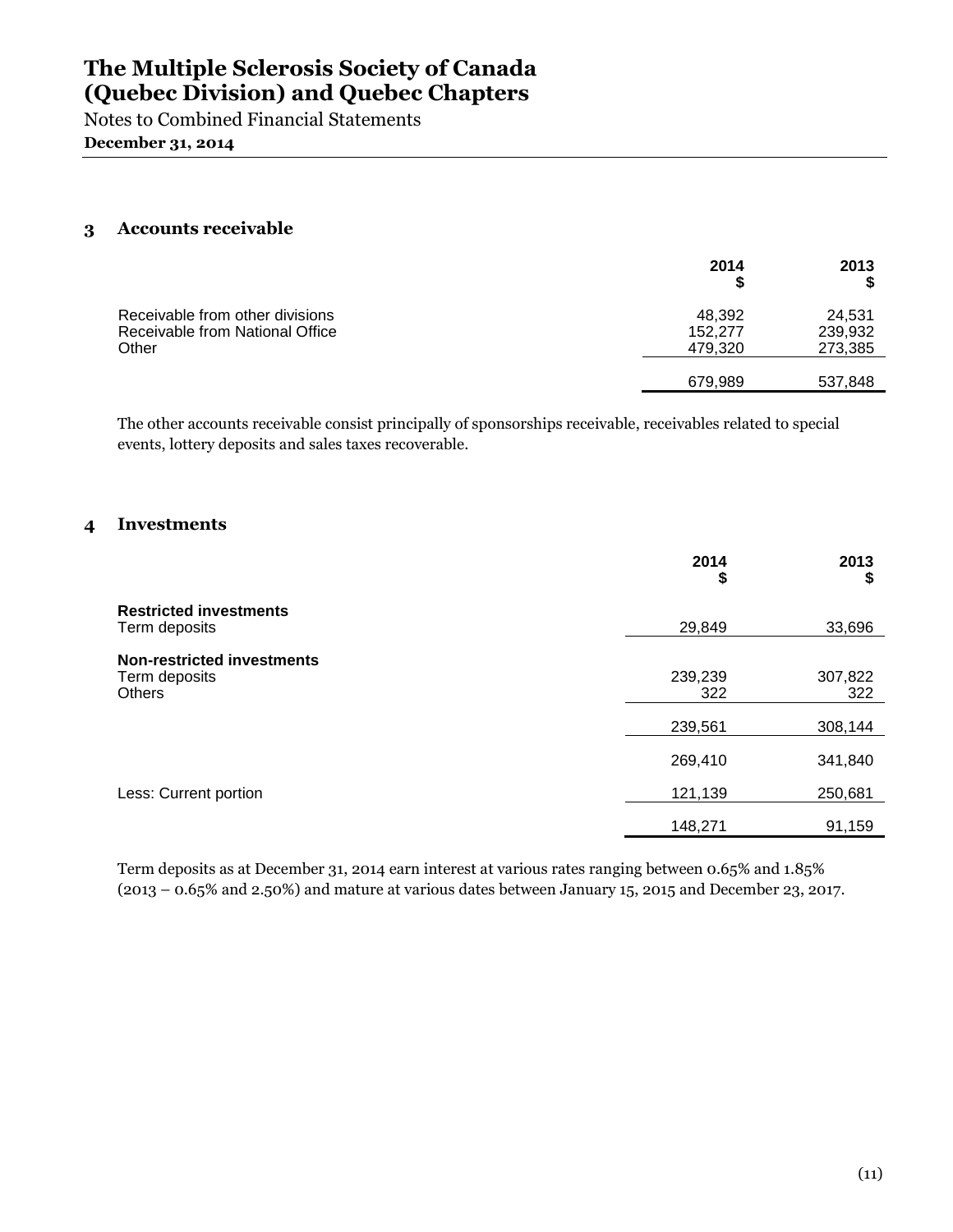Notes to Combined Financial Statements **December 31, 2014**

### **3 Accounts receivable**

|                                                                             | 2014                         | 2013                         |
|-----------------------------------------------------------------------------|------------------------------|------------------------------|
| Receivable from other divisions<br>Receivable from National Office<br>Other | 48.392<br>152,277<br>479,320 | 24.531<br>239,932<br>273,385 |
|                                                                             | 679,989                      | 537,848                      |

The other accounts receivable consist principally of sponsorships receivable, receivables related to special events, lottery deposits and sales taxes recoverable.

### **4 Investments**

|                                                                     | 2014<br>\$     | 2013<br>\$     |
|---------------------------------------------------------------------|----------------|----------------|
| <b>Restricted investments</b><br>Term deposits                      | 29,849         | 33,696         |
| <b>Non-restricted investments</b><br>Term deposits<br><b>Others</b> | 239,239<br>322 | 307,822<br>322 |
|                                                                     | 239,561        | 308,144        |
|                                                                     | 269,410        | 341,840        |
| Less: Current portion                                               | 121,139        | 250,681        |
|                                                                     | 148,271        | 91,159         |

Term deposits as at December 31, 2014 earn interest at various rates ranging between 0.65% and 1.85% (2013 – 0.65% and 2.50%) and mature at various dates between January 15, 2015 and December 23, 2017.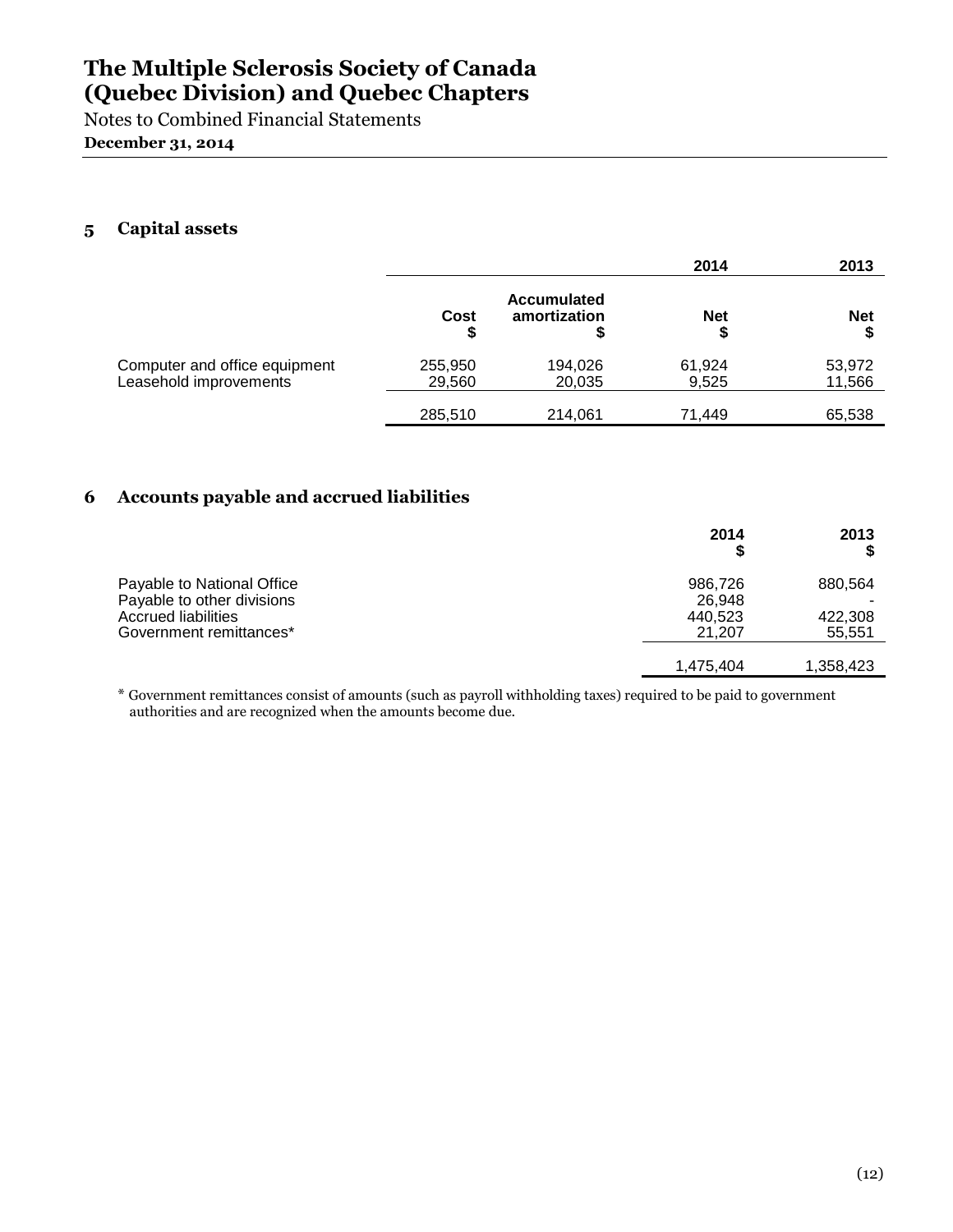Notes to Combined Financial Statements **December 31, 2014**

### **5 Capital assets**

|                                                         |                   |                                    | 2014            | 2013             |
|---------------------------------------------------------|-------------------|------------------------------------|-----------------|------------------|
|                                                         | Cost<br>\$        | <b>Accumulated</b><br>amortization | <b>Net</b>      | <b>Net</b>       |
| Computer and office equipment<br>Leasehold improvements | 255,950<br>29,560 | 194,026<br>20,035                  | 61,924<br>9,525 | 53,972<br>11,566 |
|                                                         | 285,510           | 214,061                            | 71.449          | 65,538           |

### **6 Accounts payable and accrued liabilities**

|                                                                                                            | 2014<br>ъ                              | 2013                         |
|------------------------------------------------------------------------------------------------------------|----------------------------------------|------------------------------|
| Payable to National Office<br>Payable to other divisions<br>Accrued liabilities<br>Government remittances* | 986,726<br>26.948<br>440,523<br>21.207 | 880,564<br>422,308<br>55,551 |
|                                                                                                            | 1,475,404                              | 1,358,423                    |

\* Government remittances consist of amounts (such as payroll withholding taxes) required to be paid to government authorities and are recognized when the amounts become due.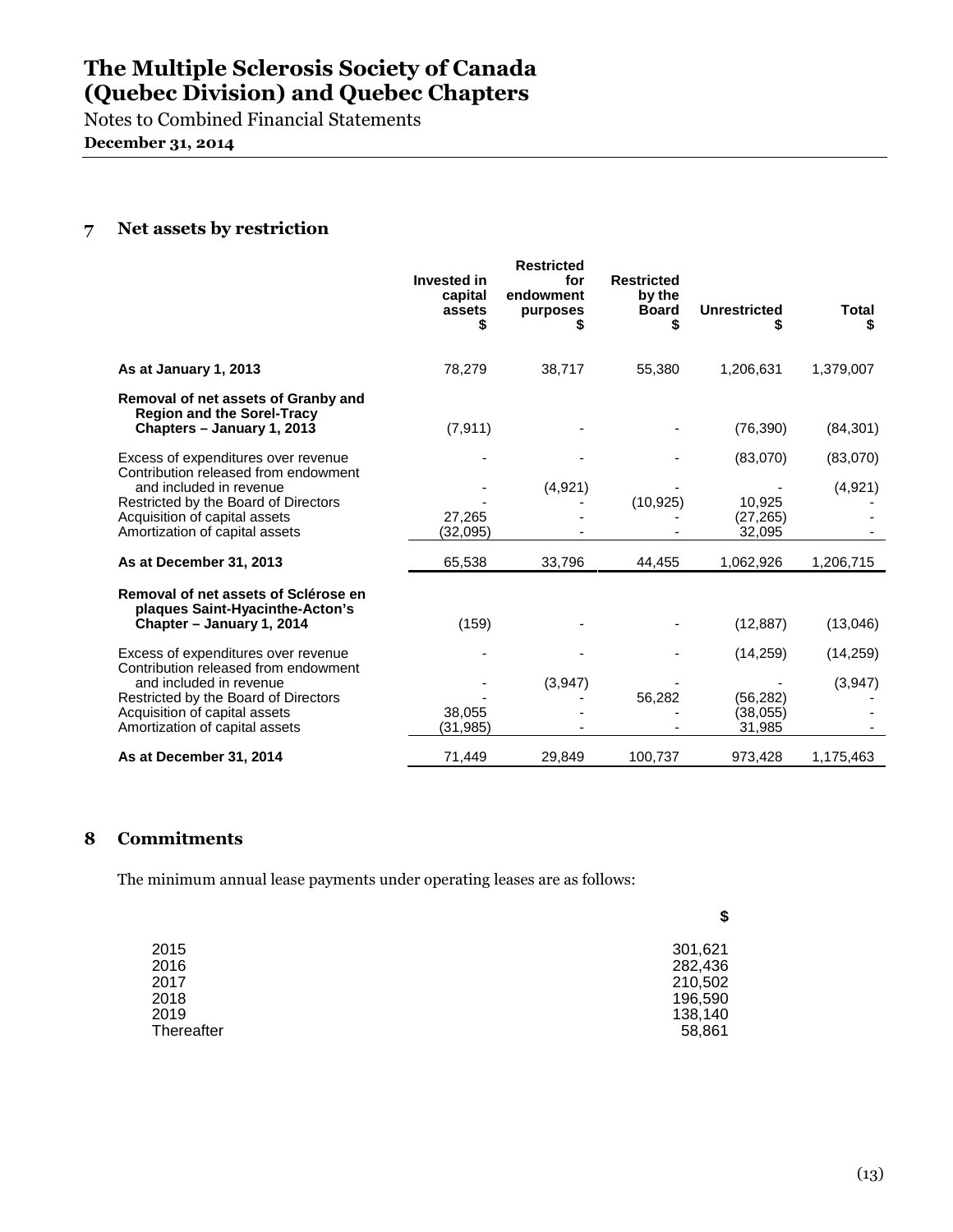Notes to Combined Financial Statements **December 31, 2014**

### **7 Net assets by restriction**

|                                                                                                                                    | <b>Invested in</b><br>capital<br>assets | <b>Restricted</b><br>for<br>endowment<br>purposes | <b>Restricted</b><br>by the<br><b>Board</b><br>S | <b>Unrestricted</b>             | <b>Total</b><br>S |
|------------------------------------------------------------------------------------------------------------------------------------|-----------------------------------------|---------------------------------------------------|--------------------------------------------------|---------------------------------|-------------------|
| As at January 1, 2013                                                                                                              | 78,279                                  | 38,717                                            | 55,380                                           | 1,206,631                       | 1,379,007         |
| Removal of net assets of Granby and<br><b>Region and the Sorel-Tracy</b><br>Chapters - January 1, 2013                             | (7, 911)                                |                                                   |                                                  | (76, 390)                       | (84, 301)         |
| Excess of expenditures over revenue<br>Contribution released from endowment                                                        |                                         |                                                   |                                                  | (83,070)                        | (83,070)          |
| and included in revenue<br>Restricted by the Board of Directors<br>Acquisition of capital assets<br>Amortization of capital assets | 27.265<br>(32,095)                      | (4,921)                                           | (10, 925)                                        | 10.925<br>(27, 265)<br>32,095   | (4,921)           |
| As at December 31, 2013                                                                                                            | 65,538                                  | 33,796                                            | 44,455                                           | 1,062,926                       | 1,206,715         |
| Removal of net assets of Sclérose en<br>plaques Saint-Hyacinthe-Acton's<br>Chapter - January 1, 2014                               | (159)                                   |                                                   |                                                  | (12, 887)                       | (13,046)          |
| Excess of expenditures over revenue<br>Contribution released from endowment                                                        |                                         |                                                   |                                                  | (14, 259)                       | (14, 259)         |
| and included in revenue<br>Restricted by the Board of Directors<br>Acquisition of capital assets<br>Amortization of capital assets | 38,055<br>(31,985)                      | (3,947)                                           | 56,282                                           | (56, 282)<br>(38,055)<br>31,985 | (3,947)           |
| As at December 31, 2014                                                                                                            | 71,449                                  | 29,849                                            | 100,737                                          | 973,428                         | 1,175,463         |

### **8 Commitments**

The minimum annual lease payments under operating leases are as follows:

| 2015       | 301,621 |
|------------|---------|
| 2016       | 282,436 |
| 2017       | 210,502 |
| 2018       | 196,590 |
| 2019       | 138,140 |
| Thereafter | 58,861  |
|            |         |

**\$**